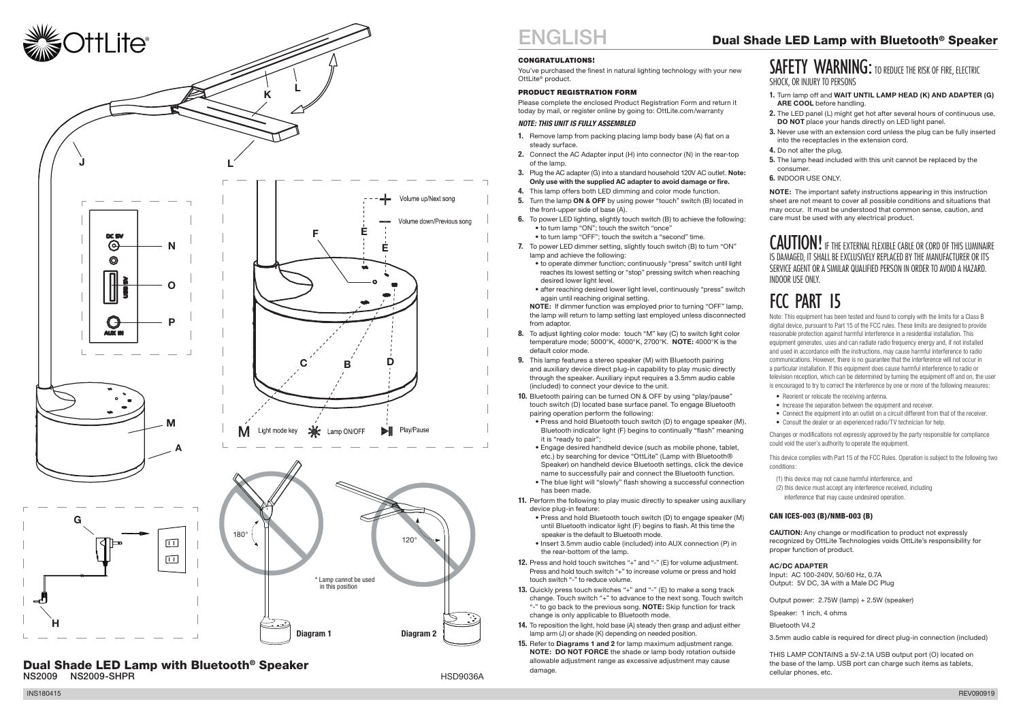### CONGRATULATIONS!

You've purchased the finest in natural lighting technology with your new OttLite® product.

## PRODUCT REGISTRATION FORM

Please complete the enclosed Product Registration Form and return it today by mail, or register online by going to: OttLite.com/warranty

#### *NOTE: THIS UNIT IS FULLY ASSEMBLED*

- **1.** Remove lamp from packing placing lamp body base (A) flat on a steady surface.
- **2.** Connect the AC Adapter input (H) into connector (N) in the rear-top of the lamp.
- **3.** Plug the AC adapter (G) into a standard household 120V AC outlet. **Note: Only use with the supplied AC adapter to avoid damage or fire.**
- **4.** This lamp offers both LED dimming and color mode function.
- **5.** Turn the lamp **ON & OFF** by using power "touch" switch (B) located in the front-upper side of base (A).
- **6.** To power LED lighting, slightly touch switch (B) to achieve the following: • to turn lamp "ON"; touch the switch "once"
	- to turn lamp "OFF"; touch the switch a "second" time.
- **7.** To power LED dimmer setting, slightly touch switch (B) to turn "ON" lamp and achieve the following:
	- to operate dimmer function; continuously "press" switch until light reaches its lowest setting or "stop" pressing switch when reaching desired lower light level.
	- after reaching desired lower light level, continuously "press" switch again until reaching original setting.

**NOTE:** If dimmer function was employed prior to turning "OFF" lamp, the lamp will return to lamp setting last employed unless disconnected from adaptor.

# CAUTION! IF THE EXTERNAL FLEXIBLE CABLE OR CORD OF THIS LUMINAIRE IS DAMAGED, IT SHALL BE EXCLUSIVELY REPLACED BY THE MANUFACTURER OR ITS SERVICE AGENT OR A SIMILAR QUALIFIED PERSON IN ORDER TO AVOID A HAZARD. INDOOR USE ONLY.

- **8.** To adjust lighting color mode: touch "M" key (C) to switch light color temperature mode; 5000°K, 4000°K, 2700°K. **NOTE:** 4000°K is the default color mode.
- **9.** This lamp features a stereo speaker (M) with Bluetooth pairing and auxiliary device direct plug-in capability to play music directly through the speaker. Auxiliary input requires a 3.5mm audio cable (included) to connect your device to the unit.
- **10.** Bluetooth pairing can be turned ON & OFF by using "play/pause" touch switch (D) located base surface panel. To engage Bluetooth pairing operation perform the following:
	- Press and hold Bluetooth touch switch (D) to engage speaker (M), Bluetooth indicator light (F) begins to continually "flash" meaning it is "ready to pair";
	- Engage desired handheld device (such as mobile phone, tablet, etc.) by searching for device "OttLite" (Lamp with Bluetooth® Speaker) on handheld device Bluetooth settings, click the device name to successfully pair and connect the Bluetooth function.
	- The blue light will "slowly" flash showing a successful connection has been made.
- **11.** Perform the following to play music directly to speaker using auxiliary device plug-in feature:
	- Press and hold Bluetooth touch switch (D) to engage speaker (M) until Bluetooth indicator light (F) begins to flash. At this time the speaker is the default to Bluetooth mode.
	- Insert 3.5mm audio cable (included) into AUX connection (P) in the rear-bottom of the lamp.
- **12.** Press and hold touch switches "+" and "-" (E) for volume adjustment. Press and hold touch switch "+" to increase volume or press and hold touch switch "-" to reduce volume.
- **13.** Quickly press touch switches "+" and "-" (E) to make a song track change. Touch switch "+" to advance to the next song. Touch switch "-" to go back to the previous song. **NOTE:** Skip function for track change is only applicable to Bluetooth mode.
- **14.** To reposition the light, hold base (A) steady then grasp and adjust either lamp arm (J) or shade (K) depending on needed position.
- **15.** Refer to **Diagrams 1 and 2** for lamp maximum adjustment range. **NOTE: DO NOT FORCE** the shade or lamp body rotation outside allowable adjustment range as excessive adjustment may cause damage.

Note: This equipment has been tested and found to comply with the limits for a Class B digital device, pursuant to Part 15 of the FCC rules. These limits are designed to provide reasonable protection against harmful interference in a residential installation. This equipment generates, uses and can radiate radio frequency energy and, if not installed and used in accordance with the instructions, may cause harmful interference to radio communications. However, there is no guarantee that the interference will not occur in a particular installation. If this equipment does cause harmful interference to radio or television reception, which can be determined by turning the equipment off and on, the user is encouraged to try to correct the interference by one or more of the following measures:

- Speaker: 1 inch, 4 ohms
- Bluetooth V4.2



Dual Shade LED Lamp with Bluetooth® Speaker NS2009 NS2009-SHPR **HSD9036A** 

- **1.** Turn lamp off and **WAIT UNTIL LAMP HEAD (K) AND ADAPTER (G) ARE COOL** before handling.
- **2.** The LED panel (L) might get hot after several hours of continuous use. **DO NOT** place your hands directly on LED light panel.
- **3.** Never use with an extension cord unless the plug can be fully inserted into the receptacles in the extension cord.
- **4.** Do not alter the plug.
- **5.** The lamp head included with this unit cannot be replaced by the consumer.
- **6.** INDOOR USE ONLY.

**NOTE:** The important safety instructions appearing in this instruction sheet are not meant to cover all possible conditions and situations that may occur. It must be understood that common sense, caution, and care must be used with any electrical product.

# FCC PART 15

- Reorient or relocate the receiving antenna.
- Increase the separation between the equipment and receiver.
- Connect the equipment into an outlet on a circuit different from that of the receiver.
- Consult the dealer or an experienced radio/TV technician for help.

Changes or modifications not expressly approved by the party responsible for compliance could void the user's authority to operate the equipment.

This device complies with Part 15 of the FCC Rules. Operation is subject to the following two conditions:

- (1) this device may not cause harmful interference, and
- (2) this device must accept any interference received, including interference that may cause undesired operation.

# CAN ICES-003 (B)/NMB-003 (B)

**CAUTION:** Any change or modification to product not expressly recognized by OttLite Technologies voids OttLite's responsibility for proper function of product.

# **AC/DC ADAPTER**

Input: AC 100-240V, 50/60 Hz, 0.7A Output: 5V DC, 3A with a Male DC Plug

Output power: 2.75W (lamp) + 2.5W (speaker)

3.5mm audio cable is required for direct plug-in connection (included)

THIS LAMP CONTAINS a 5V-2.1A USB output port (O) located on the base of the lamp. USB port can charge such items as tablets, cellular phones, etc.

# SAFETY WARNING: TO REDUCE THE RISK OF FIRE, ELECTRIC SHOCK, OR INJURY TO PERSONS

INS180415 REV090919